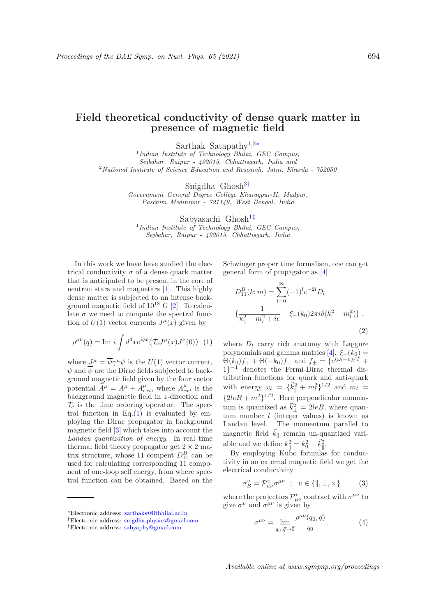## Field theoretical conductivity of dense quark matter in presence of magnetic field

Sarthak Satapathy<sup>1</sup>,2<sup>∗</sup>

<sup>1</sup>Indian Institute of Technology Bhilai, GEC Campus, Sejbahar, Raipur - 492015, Chhattisgarh, India and  $2$ National Institute of Science Education and Research, Jatni, Khurda -  $752050$ 

Snigdha Ghosh<sup>3†</sup>

Government General Degree College Kharagpur-II, Madpur, Paschim Medinipur - 721149, West Bengal, India

Sabyasachi Ghosh<sup>1‡</sup> <sup>1</sup>Indian Institute of Technology Bhilai, GEC Campus, Sejbahar, Raipur - 492015, Chhattisgarh, India

In this work we have have studied the electrical conductivity  $\sigma$  of a dense quark matter that is anticipated to be present in the core of neutron stars and magnetars [1]. This highly dense matter is subjected to an intense background magnetic field of  $10^{18}$  G  $[2]$ . To calculate  $\sigma$  we need to compute the spectral function of  $U(1)$  vector currents  $J^{\mu}(x)$  given by

$$
\rho^{\mu\nu}(q) = \text{Im } i \int d^4x e^{iqx} \langle \mathcal{T}_c J^{\mu}(x) J^{\nu}(0) \rangle
$$
 (1)

where  $J^{\mu} = \overline{\psi} \gamma^{\mu} \psi$  is the  $U(1)$  vector current,  $\psi$  and  $\overline{\psi}$  are the Dirac fields subjected to background magnetic field given by the four vector potential  $\widetilde{A}^{\mu} = A^{\mu} + A^{\mu}_{ext}$ , where  $A^{\mu}_{ext}$  is the background magnetic field in z-direction and  $\mathcal{T}_c$  is the time ordering operator. The spectral function in  $Eq.(1)$  is evaluated by employing the Dirac propagator in background magnetic field [3] which takes into account the Landau quantization of energy. In real time thermal field theory propagator get  $2 \times 2$  matrix structure, whose 11 compent  $D_{11}^B$  can be used for calculating corresponding 11 component of one-loop self energy, from where spectral function can be obtained. Based on the Schwinger proper time formalism, one can get general form of propagator as [4]

$$
D_{11}^{B}(k; m) = \sum_{l=0}^{\infty} (-1)^{l} e^{-2l} D_{l}
$$
  

$$
\left\{ \frac{-1}{k_{\parallel}^{2} - m_{l}^{2} + i\epsilon} - \xi_{-}(k_{0}) 2\pi i \delta(k_{\parallel}^{2} - m_{l}^{2}) \right\},
$$
\n(2)

where  $D_l$  carry rich anatomy with Laggure polynomials and gamma matrics  $[4]$ .  $\xi_-(k_0) =$  $\Theta(k_0)f_+ + \Theta(-k_0)f_-$  and  $f_\pm = \{e^{(\omega_l \mp \mu)/T} +$ 1} <sup>−</sup><sup>1</sup> denotes the Fermi-Dirac thermal distribution functions for quark and anti-quark with energy  $\omega_l = {\{\vec{k}_{\parallel}^2 + m_l^2\}}^{1/2}$  and  $m_l =$  ${2leB+m^2}^{1/2}$ . Here perpendicular momentum is quantized as  $\vec{k}_{\perp}^2 = 2leB$ , where quantum number  $l$  (integer values) is known as Landau level. The momentum parallel to magnetic field  $\vec{k}_{\parallel}$  remain un-quantized variable and we define  $k_{\parallel}^2 = k_0^2 - \vec{k}_{\parallel}^2$ .

By employing Kubo formulas for conductivity in an external magnetic field we get the electrical conductivity

$$
\sigma_B^v = \mathcal{P}_{\mu\nu}^v \sigma^{\mu\nu} \quad ; \quad v \in \{ \|, \bot, \times \} \tag{3}
$$

where the projectors  $\mathcal{P}^{\nu}_{\mu\nu}$  contract with  $\sigma^{\mu\nu}$  to give  $\sigma^{\nu}$  and  $\sigma^{\mu\nu}$  is given by

$$
\sigma^{\mu\nu} = \lim_{q_0, \vec{q} \to \vec{0}} \frac{\rho^{\mu\nu}(q_0, \vec{q})}{q_0}.
$$
 (4)

Available online at www.sympnp.org/proceedings

<sup>∗</sup>Electronic address: sarthaks@iitbhilai.ac.in

<sup>†</sup>Electronic address: snigdha.physics@gmail.com

<sup>‡</sup>Electronic address: sabyaphy@gmail.com